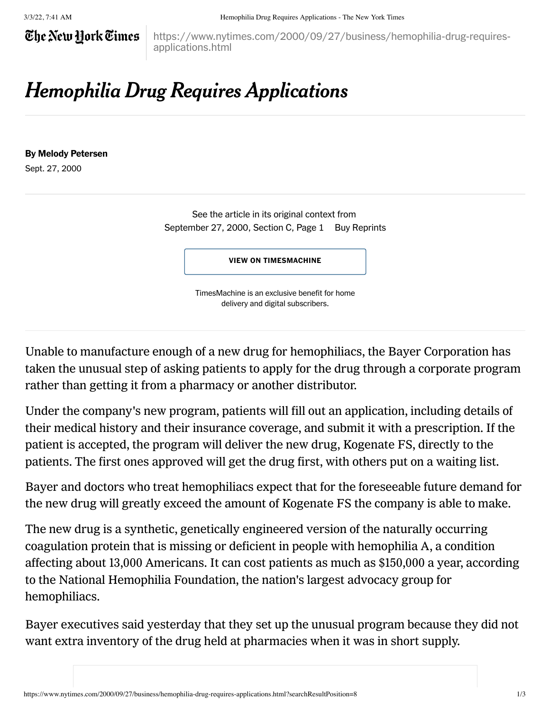## The New Hork Times

https://www.nytimes.com/2000/09/27/business/hemophilia-drug-requiresapplications.html

## Hemophilia Drug Requires Applications

## By Melody Petersen

Sept. 27, 2000

See the article in its original context from September 27, 2000, Section C, Page 1 [Buy Reprints](https://store.nytimes.com/collections/new-york-times-page-reprints?utm_source=nytimes&utm_medium=article-page&utm_campaign=reprints)

VIEW ON [TIMESMACHINE](https://timesmachine.nytimes.com/timesmachine/2000/09/27/356662.html)

TimesMachine is an exclusive benefit for home delivery and digital subscribers.

Unable to manufacture enough of a new drug for hemophiliacs, the Bayer Corporation has taken the unusual step of asking patients to apply for the drug through a corporate program rather than getting it from a pharmacy or another distributor.

Under the company's new program, patients will fill out an application, including details of their medical history and their insurance coverage, and submit it with a prescription. If the patient is accepted, the program will deliver the new drug, Kogenate FS, directly to the patients. The first ones approved will get the drug first, with others put on a waiting list.

Bayer and doctors who treat hemophiliacs expect that for the foreseeable future demand for the new drug will greatly exceed the amount of Kogenate FS the company is able to make.

The new drug is a synthetic, genetically engineered version of the naturally occurring coagulation protein that is missing or deficient in people with hemophilia A, a condition affecting about 13,000 Americans. It can cost patients as much as \$150,000 a year, according to the National Hemophilia Foundation, the nation's largest advocacy group for hemophiliacs.

Bayer executives said yesterday that they set up the unusual program because they did not want extra inventory of the drug held at pharmacies when it was in short supply.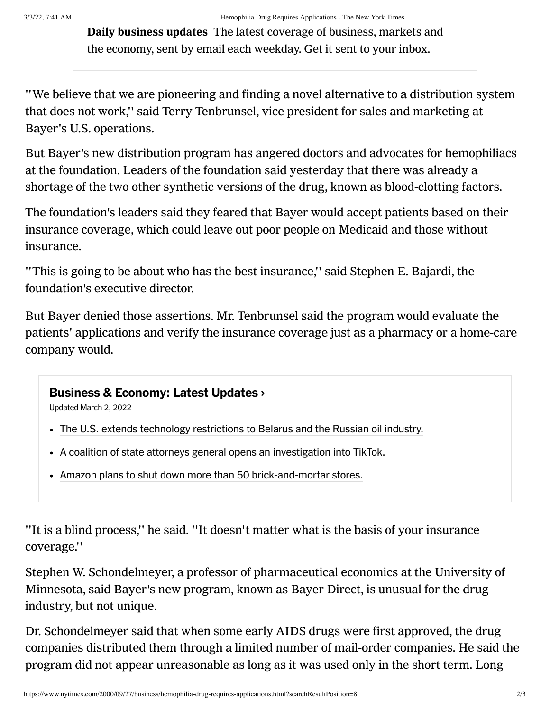Daily business updates The latest coverage of business, markets and the economy, sent by email each weekday. Get it sent to your inbox.

''We believe that we are pioneering and finding a novel alternative to a distribution system that does not work,'' said Terry Tenbrunsel, vice president for sales and marketing at Bayer's U.S. operations.

But Bayer's new distribution program has angered doctors and advocates for hemophiliacs at the foundation. Leaders of the foundation said yesterday that there was already a shortage of the two other synthetic versions of the drug, known as blood-clotting factors.

The foundation's leaders said they feared that Bayer would accept patients based on their insurance coverage, which could leave out poor people on Medicaid and those without insurance.

''This is going to be about who has the best insurance,'' said Stephen E. Bajardi, the foundation's executive director.

But Bayer denied those assertions. Mr. Tenbrunsel said the program would evaluate the patients' applications and verify the insurance coverage just as a pharmacy or a home-care company would.

## [Business & Economy: Latest Updates](https://www.nytimes.com/live/2022/03/02/business/stock-market-and-business-news?name=styln-business-live®ion=MAIN_CONTENT_2&block=storyline_latest_updates_recirc&action=click&pgtype=Article&variant=show&index=0) ›

Updated March 2, 2022

- [The U.S. extends technology restrictions to Belarus and the Russian oil industry.](https://www.nytimes.com/live/2022/03/02/business/stock-market-and-business-news?name=styln-business-live®ion=MAIN_CONTENT_2&block=storyline_latest_updates_recirc&action=click&pgtype=Article&variant=show&index=1#us-ukraine-belarus-technology-restrictions)
- [A coalition of state attorneys general opens an investigation into TikTok.](https://www.nytimes.com/live/2022/03/02/business/stock-market-and-business-news?name=styln-business-live®ion=MAIN_CONTENT_2&block=storyline_latest_updates_recirc&action=click&pgtype=Article&variant=show&index=1#tiktok-states-investigation)
- [Amazon plans to shut down more than 50 brick-and-mortar stores.](https://www.nytimes.com/live/2022/03/02/business/stock-market-and-business-news?name=styln-business-live®ion=MAIN_CONTENT_2&block=storyline_latest_updates_recirc&action=click&pgtype=Article&variant=show&index=1#amazon-closing-stores)

''It is a blind process,'' he said. ''It doesn't matter what is the basis of your insurance coverage.''

Stephen W. Schondelmeyer, a professor of pharmaceutical economics at the University of Minnesota, said Bayer's new program, known as Bayer Direct, is unusual for the drug industry, but not unique.

Dr. Schondelmeyer said that when some early AIDS drugs were first approved, the drug companies distributed them through a limited number of mail-order companies. He said the program did not appear unreasonable as long as it was used only in the short term. Long